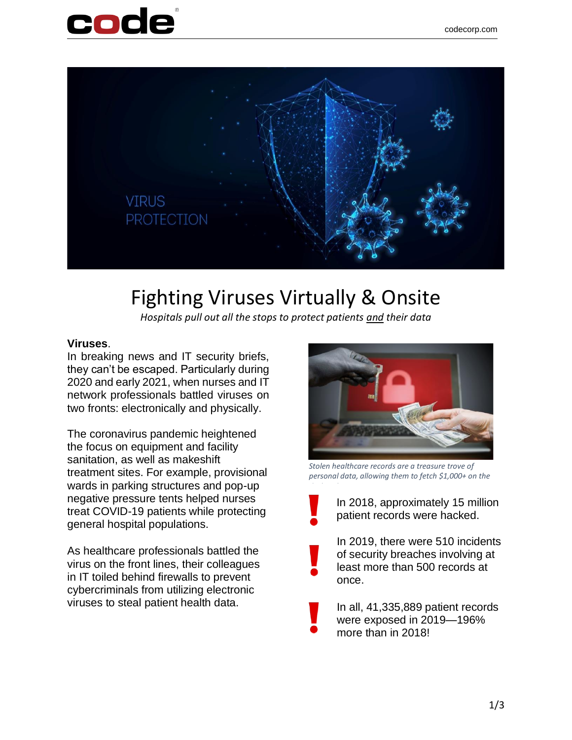



# Fighting Viruses Virtually & Onsite

*Hospitals pull out all the stops to protect patients and their data*

#### **Viruses**.

In breaking news and IT security briefs, they can't be escaped. Particularly during 2020 and early 2021, when nurses and IT network professionals battled viruses on two fronts: electronically and physically.

The coronavirus pandemic heightened the focus on equipment and facility sanitation, as well as makeshift treatment sites. For example, provisional wards in parking structures and pop-up negative pressure tents helped nurses treat COVID-19 patients while protecting general hospital populations.

As healthcare professionals battled the virus on the front lines, their colleagues in IT toiled behind firewalls to prevent cybercriminals from utilizing electronic viruses to steal patient health data.



*Stolen healthcare records are a treasure trove of personal data, allowing them to fetch \$1,000+ on the* 



In 2018, approximately 15 million patient records were hacked.

In 2019, there were 510 incidents of security breaches involving at least more than 500 records at once.

In all, 41,335,889 patient records were exposed in 2019—196% more than in 2018!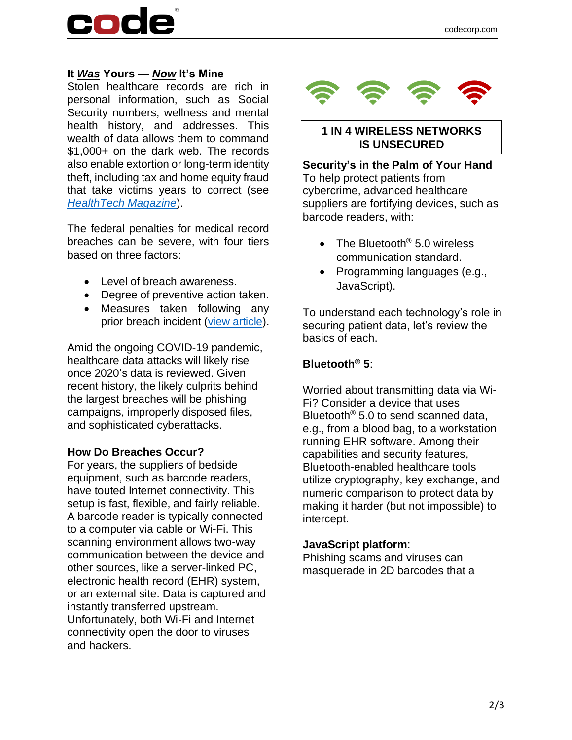# code

### **It** *Was* **Yours —** *Now* **It's Mine**

Stolen healthcare records are rich in personal information, such as Social Security numbers, wellness and mental health history, and addresses. This wealth of data allows them to command \$1,000+ on the dark web. The records also enable extortion or long-term identity theft, including tax and home equity fraud that take victims years to correct (see *[HealthTech Magazine](https://healthtechmagazine.net/article/2019/10/what-happens-stolen-healthcare-data-perfcon)*).

The federal penalties for medical record breaches can be severe, with four tiers based on three factors:

- Level of breach awareness.
- Degree of preventive action taken.
- Measures taken following any prior breach incident [\(view article\)](https://www.americanretrieval.com/medical-records-breach).

Amid the ongoing COVID-19 pandemic, healthcare data attacks will likely rise once 2020's data is reviewed. Given recent history, the likely culprits behind the largest breaches will be phishing campaigns, improperly disposed files, and sophisticated cyberattacks.

#### **How Do Breaches Occur?**

For years, the suppliers of bedside equipment, such as barcode readers, have touted Internet connectivity. This setup is fast, flexible, and fairly reliable. A barcode reader is typically connected to a computer via cable or Wi-Fi. This scanning environment allows two-way communication between the device and other sources, like a server-linked PC, electronic health record (EHR) system, or an external site. Data is captured and instantly transferred upstream. Unfortunately, both Wi-Fi and Internet connectivity open the door to viruses and hackers.



### **1 IN 4 WIRELESS NETWORKS IS UNSECURED**

**Security's in the Palm of Your Hand** To help protect patients from cybercrime, advanced healthcare suppliers are fortifying devices, such as barcode readers, with:

- The Bluetooth<sup>®</sup> 5.0 wireless communication standard.
- Programming languages (e.g., JavaScript).

To understand each technology's role in securing patient data, let's review the basics of each.

# **Bluetooth® 5**:

Worried about transmitting data via Wi-Fi? Consider a device that uses Bluetooth<sup>®</sup> 5.0 to send scanned data, e.g., from a blood bag, to a workstation running EHR software. Among their capabilities and security features, Bluetooth-enabled healthcare tools utilize cryptography, key exchange, and numeric comparison to protect data by making it harder (but not impossible) to intercept.

### **JavaScript platform**:

Phishing scams and viruses can masquerade in 2D barcodes that a